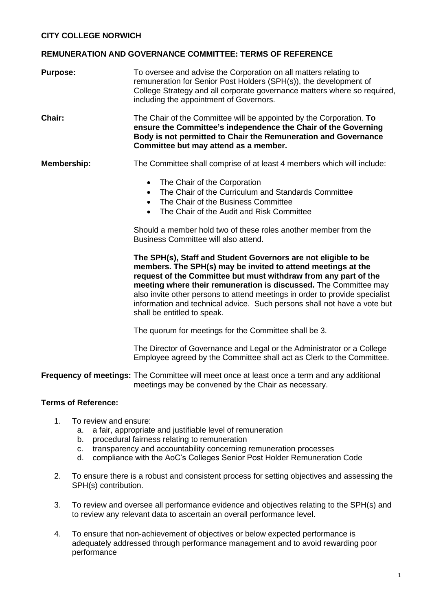## **REMUNERATION AND GOVERNANCE COMMITTEE: TERMS OF REFERENCE**

| <b>Purpose:</b> | To oversee and advise the Corporation on all matters relating to<br>remuneration for Senior Post Holders (SPH(s)), the development of<br>College Strategy and all corporate governance matters where so required,<br>including the appointment of Governors. |
|-----------------|--------------------------------------------------------------------------------------------------------------------------------------------------------------------------------------------------------------------------------------------------------------|
| <b>Chair:</b>   | The Chair of the Committee will be appointed by the Corporation. To<br>ensure the Committee's independence the Chair of the Governing<br>Body is not permitted to Chair the Remuneration and Governance<br>Committee but may attend as a member.             |
| Membership:     | The Committee shall comprise of at least 4 members which will include:                                                                                                                                                                                       |

- The Chair of the Corporation
- The Chair of the Curriculum and Standards Committee
- The Chair of the Business Committee
- The Chair of the Audit and Risk Committee

Should a member hold two of these roles another member from the Business Committee will also attend.

**The SPH(s), Staff and Student Governors are not eligible to be members. The SPH(s) may be invited to attend meetings at the request of the Committee but must withdraw from any part of the meeting where their remuneration is discussed.** The Committee may also invite other persons to attend meetings in order to provide specialist information and technical advice. Such persons shall not have a vote but shall be entitled to speak.

The quorum for meetings for the Committee shall be 3.

The Director of Governance and Legal or the Administrator or a College Employee agreed by the Committee shall act as Clerk to the Committee.

**Frequency of meetings:** The Committee will meet once at least once a term and any additional meetings may be convened by the Chair as necessary.

## **Terms of Reference:**

- 1. To review and ensure:
	- a. a fair, appropriate and justifiable level of remuneration
	- b. procedural fairness relating to remuneration
	- c. transparency and accountability concerning remuneration processes
	- d. compliance with the AoC's Colleges Senior Post Holder Remuneration Code
- 2. To ensure there is a robust and consistent process for setting objectives and assessing the SPH(s) contribution.
- 3. To review and oversee all performance evidence and objectives relating to the SPH(s) and to review any relevant data to ascertain an overall performance level.
- 4. To ensure that non-achievement of objectives or below expected performance is adequately addressed through performance management and to avoid rewarding poor performance